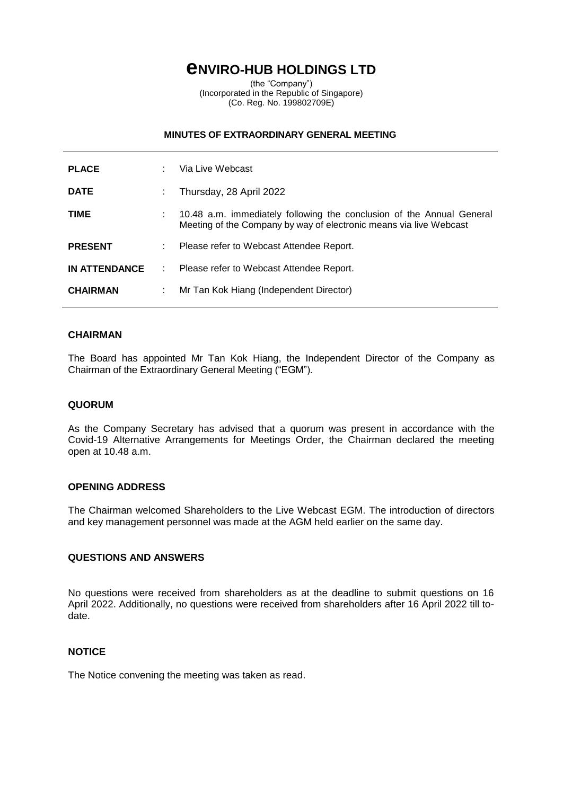# **eNVIRO-HUB HOLDINGS LTD**

(the "Company") (Incorporated in the Republic of Singapore) (Co. Reg. No. 199802709E)

#### **MINUTES OF EXTRAORDINARY GENERAL MEETING**

| <b>PLACE</b>         |    | Via Live Webcast                                                                                                                            |
|----------------------|----|---------------------------------------------------------------------------------------------------------------------------------------------|
| <b>DATE</b>          |    | Thursday, 28 April 2022                                                                                                                     |
| <b>TIME</b>          |    | 10.48 a.m. immediately following the conclusion of the Annual General<br>Meeting of the Company by way of electronic means via live Webcast |
| <b>PRESENT</b>       | ÷. | Please refer to Webcast Attendee Report.                                                                                                    |
| <b>IN ATTENDANCE</b> |    | Please refer to Webcast Attendee Report.                                                                                                    |
| <b>CHAIRMAN</b>      |    | Mr Tan Kok Hiang (Independent Director)                                                                                                     |

## **CHAIRMAN**

The Board has appointed Mr Tan Kok Hiang, the Independent Director of the Company as Chairman of the Extraordinary General Meeting ("EGM").

## **QUORUM**

As the Company Secretary has advised that a quorum was present in accordance with the Covid-19 Alternative Arrangements for Meetings Order, the Chairman declared the meeting open at 10.48 a.m.

#### **OPENING ADDRESS**

The Chairman welcomed Shareholders to the Live Webcast EGM. The introduction of directors and key management personnel was made at the AGM held earlier on the same day.

# **QUESTIONS AND ANSWERS**

No questions were received from shareholders as at the deadline to submit questions on 16 April 2022. Additionally, no questions were received from shareholders after 16 April 2022 till todate.

#### **NOTICE**

The Notice convening the meeting was taken as read.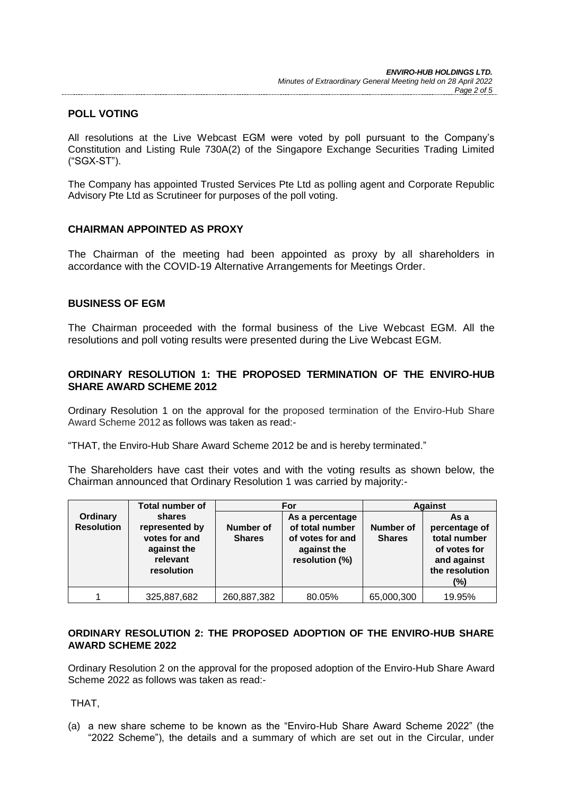# **POLL VOTING**

All resolutions at the Live Webcast EGM were voted by poll pursuant to the Company's Constitution and Listing Rule 730A(2) of the Singapore Exchange Securities Trading Limited ("SGX-ST").

The Company has appointed Trusted Services Pte Ltd as polling agent and Corporate Republic Advisory Pte Ltd as Scrutineer for purposes of the poll voting.

## **CHAIRMAN APPOINTED AS PROXY**

The Chairman of the meeting had been appointed as proxy by all shareholders in accordance with the COVID-19 Alternative Arrangements for Meetings Order.

## **BUSINESS OF EGM**

The Chairman proceeded with the formal business of the Live Webcast EGM. All the resolutions and poll voting results were presented during the Live Webcast EGM.

# **ORDINARY RESOLUTION 1: THE PROPOSED TERMINATION OF THE ENVIRO-HUB SHARE AWARD SCHEME 2012**

Ordinary Resolution 1 on the approval for the proposed termination of the Enviro-Hub Share Award Scheme 2012 as follows was taken as read:-

"THAT, the Enviro-Hub Share Award Scheme 2012 be and is hereby terminated."

The Shareholders have cast their votes and with the voting results as shown below, the Chairman announced that Ordinary Resolution 1 was carried by majority:-

|                               | <b>Total number of</b>                                                             |                            | For                                                                                     | <b>Against</b>             |                                                                                                  |
|-------------------------------|------------------------------------------------------------------------------------|----------------------------|-----------------------------------------------------------------------------------------|----------------------------|--------------------------------------------------------------------------------------------------|
| Ordinary<br><b>Resolution</b> | shares<br>represented by<br>votes for and<br>against the<br>relevant<br>resolution | Number of<br><b>Shares</b> | As a percentage<br>of total number<br>of votes for and<br>against the<br>resolution (%) | Number of<br><b>Shares</b> | As a<br>percentage of<br>total number<br>of votes for<br>and against<br>the resolution<br>$(\%)$ |
|                               | 325,887,682                                                                        | 260,887,382                | 80.05%                                                                                  | 65,000,300                 | 19.95%                                                                                           |

## **ORDINARY RESOLUTION 2: THE PROPOSED ADOPTION OF THE ENVIRO-HUB SHARE AWARD SCHEME 2022**

Ordinary Resolution 2 on the approval for the proposed adoption of the Enviro-Hub Share Award Scheme 2022 as follows was taken as read:-

THAT,

(a) a new share scheme to be known as the "Enviro-Hub Share Award Scheme 2022" (the "2022 Scheme"), the details and a summary of which are set out in the Circular, under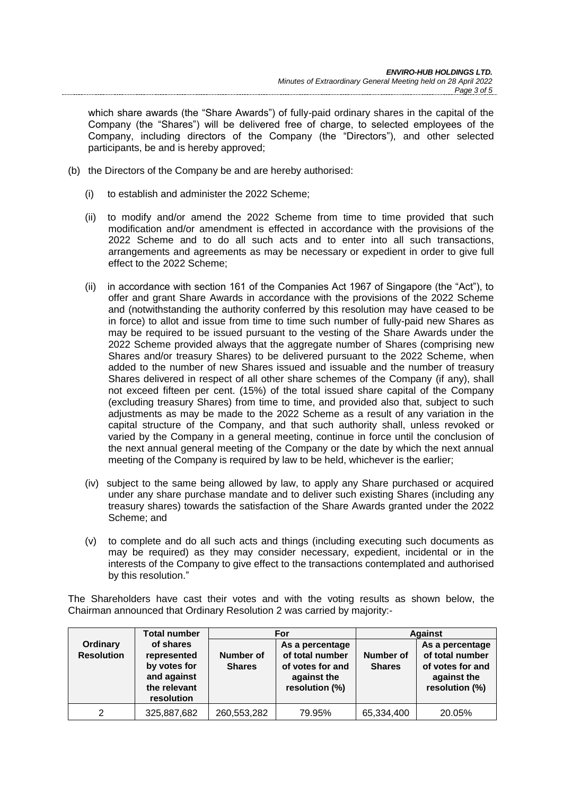which share awards (the "Share Awards") of fully-paid ordinary shares in the capital of the Company (the "Shares") will be delivered free of charge, to selected employees of the Company, including directors of the Company (the "Directors"), and other selected participants, be and is hereby approved;

- (b) the Directors of the Company be and are hereby authorised:
	- (i) to establish and administer the 2022 Scheme;
	- (ii) to modify and/or amend the 2022 Scheme from time to time provided that such modification and/or amendment is effected in accordance with the provisions of the 2022 Scheme and to do all such acts and to enter into all such transactions, arrangements and agreements as may be necessary or expedient in order to give full effect to the 2022 Scheme;
	- (ii) in accordance with section 161 of the Companies Act 1967 of Singapore (the "Act"), to offer and grant Share Awards in accordance with the provisions of the 2022 Scheme and (notwithstanding the authority conferred by this resolution may have ceased to be in force) to allot and issue from time to time such number of fully-paid new Shares as may be required to be issued pursuant to the vesting of the Share Awards under the 2022 Scheme provided always that the aggregate number of Shares (comprising new Shares and/or treasury Shares) to be delivered pursuant to the 2022 Scheme, when added to the number of new Shares issued and issuable and the number of treasury Shares delivered in respect of all other share schemes of the Company (if any), shall not exceed fifteen per cent. (15%) of the total issued share capital of the Company (excluding treasury Shares) from time to time, and provided also that, subject to such adjustments as may be made to the 2022 Scheme as a result of any variation in the capital structure of the Company, and that such authority shall, unless revoked or varied by the Company in a general meeting, continue in force until the conclusion of the next annual general meeting of the Company or the date by which the next annual meeting of the Company is required by law to be held, whichever is the earlier;
	- (iv) subject to the same being allowed by law, to apply any Share purchased or acquired under any share purchase mandate and to deliver such existing Shares (including any treasury shares) towards the satisfaction of the Share Awards granted under the 2022 Scheme; and
	- (v) to complete and do all such acts and things (including executing such documents as may be required) as they may consider necessary, expedient, incidental or in the interests of the Company to give effect to the transactions contemplated and authorised by this resolution."

The Shareholders have cast their votes and with the voting results as shown below, the Chairman announced that Ordinary Resolution 2 was carried by majority:-

|                               | <b>Total number</b>                                                                   |                            | For                                                                                     | <b>Against</b>             |                                                                                         |
|-------------------------------|---------------------------------------------------------------------------------------|----------------------------|-----------------------------------------------------------------------------------------|----------------------------|-----------------------------------------------------------------------------------------|
| Ordinary<br><b>Resolution</b> | of shares<br>represented<br>by votes for<br>and against<br>the relevant<br>resolution | Number of<br><b>Shares</b> | As a percentage<br>of total number<br>of votes for and<br>against the<br>resolution (%) | Number of<br><b>Shares</b> | As a percentage<br>of total number<br>of votes for and<br>against the<br>resolution (%) |
| 2                             | 325,887,682                                                                           | 260,553,282                | 79.95%                                                                                  | 65,334,400                 | 20.05%                                                                                  |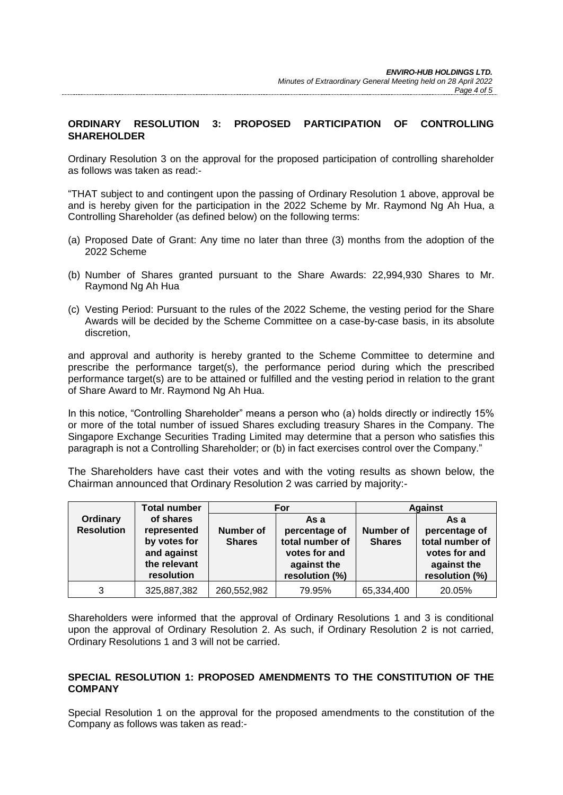# **ORDINARY RESOLUTION 3: PROPOSED PARTICIPATION OF CONTROLLING SHAREHOLDER**

Ordinary Resolution 3 on the approval for the proposed participation of controlling shareholder as follows was taken as read:-

"THAT subject to and contingent upon the passing of Ordinary Resolution 1 above, approval be and is hereby given for the participation in the 2022 Scheme by Mr. Raymond Ng Ah Hua, a Controlling Shareholder (as defined below) on the following terms:

- (a) Proposed Date of Grant: Any time no later than three (3) months from the adoption of the 2022 Scheme
- (b) Number of Shares granted pursuant to the Share Awards: 22,994,930 Shares to Mr. Raymond Ng Ah Hua
- (c) Vesting Period: Pursuant to the rules of the 2022 Scheme, the vesting period for the Share Awards will be decided by the Scheme Committee on a case-by-case basis, in its absolute discretion,

and approval and authority is hereby granted to the Scheme Committee to determine and prescribe the performance target(s), the performance period during which the prescribed performance target(s) are to be attained or fulfilled and the vesting period in relation to the grant of Share Award to Mr. Raymond Ng Ah Hua.

In this notice, "Controlling Shareholder" means a person who (a) holds directly or indirectly 15% or more of the total number of issued Shares excluding treasury Shares in the Company. The Singapore Exchange Securities Trading Limited may determine that a person who satisfies this paragraph is not a Controlling Shareholder; or (b) in fact exercises control over the Company."

The Shareholders have cast their votes and with the voting results as shown below, the Chairman announced that Ordinary Resolution 2 was carried by majority:-

|                               | <b>Total number</b>                                                                   |                                   | For                                                                                        | <b>Against</b>                    |                                                                                            |
|-------------------------------|---------------------------------------------------------------------------------------|-----------------------------------|--------------------------------------------------------------------------------------------|-----------------------------------|--------------------------------------------------------------------------------------------|
| Ordinary<br><b>Resolution</b> | of shares<br>represented<br>by votes for<br>and against<br>the relevant<br>resolution | <b>Number of</b><br><b>Shares</b> | As a<br>percentage of<br>total number of<br>votes for and<br>against the<br>resolution (%) | <b>Number of</b><br><b>Shares</b> | As a<br>percentage of<br>total number of<br>votes for and<br>against the<br>resolution (%) |
| 3                             | 325,887,382                                                                           | 260,552,982                       | 79.95%                                                                                     | 65,334,400                        | 20.05%                                                                                     |

Shareholders were informed that the approval of Ordinary Resolutions 1 and 3 is conditional upon the approval of Ordinary Resolution 2. As such, if Ordinary Resolution 2 is not carried, Ordinary Resolutions 1 and 3 will not be carried.

## **SPECIAL RESOLUTION 1: PROPOSED AMENDMENTS TO THE CONSTITUTION OF THE COMPANY**

Special Resolution 1 on the approval for the proposed amendments to the constitution of the Company as follows was taken as read:-